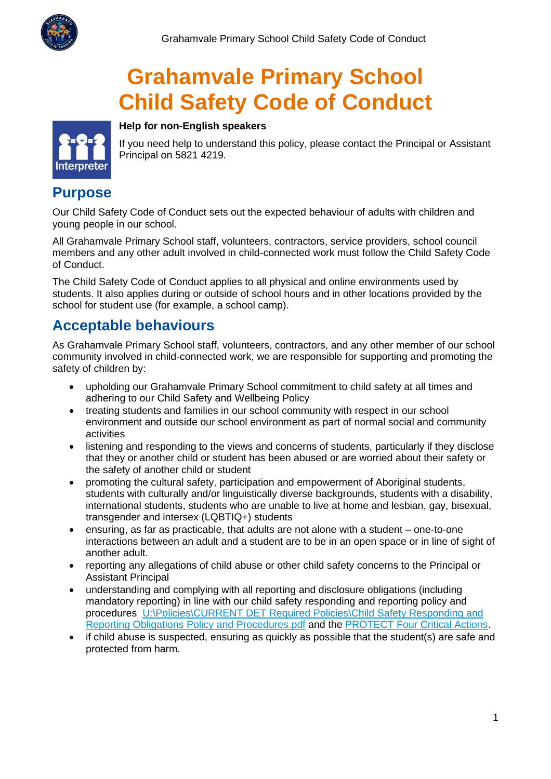

# **Grahamvale Primary School Child Safety Code of Conduct**



If you need help to understand this policy, please contact the Principal or Assistant Principal on 5821 4219.

#### **Purpose**

Our Child Safety Code of Conduct sets out the expected behaviour of adults with children and young people in our school.

**Help for non-English speakers**

All Grahamvale Primary School staff, volunteers, contractors, service providers, school council members and any other adult involved in child-connected work must follow the Child Safety Code of Conduct.

The Child Safety Code of Conduct applies to all physical and online environments used by students. It also applies during or outside of school hours and in other locations provided by the school for student use (for example, a school camp).

## **Acceptable behaviours**

As Grahamvale Primary School staff, volunteers, contractors, and any other member of our school community involved in child-connected work, we are responsible for supporting and promoting the safety of children by:

- upholding our Grahamvale Primary School commitment to child safety at all times and adhering to our Child Safety and Wellbeing Policy
- treating students and families in our school community with respect in our school environment and outside our school environment as part of normal social and community activities
- listening and responding to the views and concerns of students, particularly if they disclose that they or another child or student has been abused or are worried about their safety or the safety of another child or student
- promoting the cultural safety, participation and empowerment of Aboriginal students, students with culturally and/or linguistically diverse backgrounds, students with a disability, international students, students who are unable to live at home and lesbian, gay, bisexual, transgender and intersex (LQBTIQ+) students
- ensuring, as far as practicable, that adults are not alone with a student one-to-one interactions between an adult and a student are to be in an open space or in line of sight of another adult.
- reporting any allegations of child abuse or other child safety concerns to the Principal or Assistant Principal
- understanding and complying with all reporting and disclosure obligations (including mandatory reporting) in line with our child safety responding and reporting policy and procedures [U:\Policies\CURRENT DET Required Policies\Child Safety Responding and](file://///3696AFS01/Users/Policies/CURRENT%20DET%20Required%20Policies/Child%20Safety%20Responding%20and%20Reporting%20Obligations%20Policy%20and%20Procedures.pdf)  [Reporting Obligations Policy and Procedures.pdf](file://///3696AFS01/Users/Policies/CURRENT%20DET%20Required%20Policies/Child%20Safety%20Responding%20and%20Reporting%20Obligations%20Policy%20and%20Procedures.pdf) and the [PROTECT Four Critical Actions.](https://www.education.vic.gov.au/Documents/about/programs/health/protect/FourCriticalActions_ChildAbuse.pdf)
- if child abuse is suspected, ensuring as quickly as possible that the student(s) are safe and protected from harm.